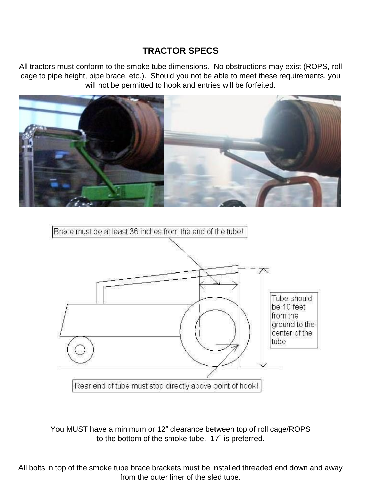## **TRACTOR SPECS**

All tractors must conform to the smoke tube dimensions. No obstructions may exist (ROPS, roll cage to pipe height, pipe brace, etc.). Should you not be able to meet these requirements, you will not be permitted to hook and entries will be forfeited.





You MUST have a minimum or 12" clearance between top of roll cage/ROPS to the bottom of the smoke tube. 17" is preferred.

All bolts in top of the smoke tube brace brackets must be installed threaded end down and away from the outer liner of the sled tube.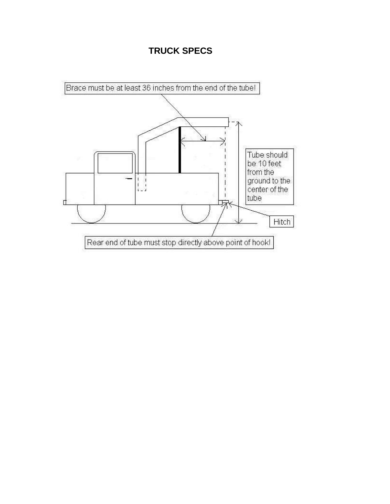## **TRUCK SPECS**